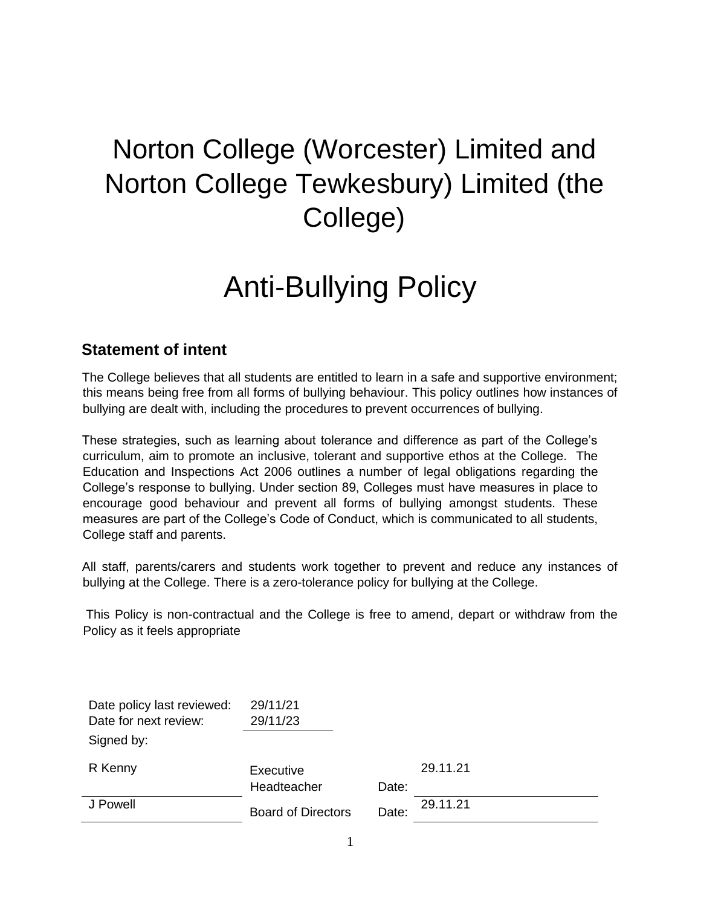## Norton College (Worcester) Limited and Norton College Tewkesbury) Limited (the College)

# Anti-Bullying Policy

## **Statement of intent**

The College believes that all students are entitled to learn in a safe and supportive environment; this means being free from all forms of bullying behaviour. This policy outlines how instances of bullying are dealt with, including the procedures to prevent occurrences of bullying.

These strategies, such as learning about tolerance and difference as part of the College's curriculum, aim to promote an inclusive, tolerant and supportive ethos at the College. The Education and Inspections Act 2006 outlines a number of legal obligations regarding the College's response to bullying. Under section 89, Colleges must have measures in place to encourage good behaviour and prevent all forms of bullying amongst students. These measures are part of the College's Code of Conduct, which is communicated to all students, College staff and parents.

All staff, parents/carers and students work together to prevent and reduce any instances of bullying at the College. There is a zero-tolerance policy for bullying at the College.

This Policy is non-contractual and the College is free to amend, depart or withdraw from the Policy as it feels appropriate

| Date policy last reviewed: | 29/11/21                  |       |          |
|----------------------------|---------------------------|-------|----------|
| Date for next review:      | 29/11/23                  |       |          |
| Signed by:                 |                           |       |          |
| R Kenny                    | Executive                 |       | 29.11.21 |
|                            | Headteacher               | Date: |          |
| J Powell                   | <b>Board of Directors</b> | Date: | 29.11.21 |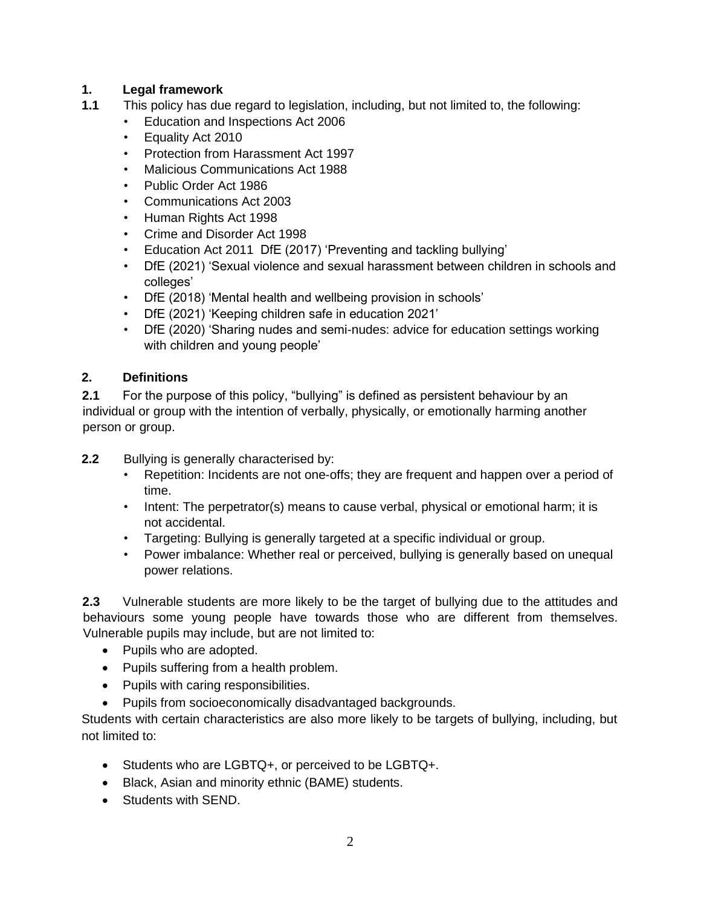#### **1. Legal framework**

- **1.1** This policy has due regard to legislation, including, but not limited to, the following:
	- Education and Inspections Act 2006
	- Equality Act 2010
	- Protection from Harassment Act 1997
	- Malicious Communications Act 1988
	- Public Order Act 1986
	- Communications Act 2003
	- Human Rights Act 1998
	- Crime and Disorder Act 1998
	- Education Act 2011 DfE (2017) 'Preventing and tackling bullying'
	- DfE (2021) 'Sexual violence and sexual harassment between children in schools and colleges'
	- DfE (2018) 'Mental health and wellbeing provision in schools'
	- DfE (2021) 'Keeping children safe in education 2021'
	- DfE (2020) 'Sharing nudes and semi-nudes: advice for education settings working with children and young people'

#### **2. Definitions**

**2.1** For the purpose of this policy, "bullying" is defined as persistent behaviour by an individual or group with the intention of verbally, physically, or emotionally harming another person or group.

- **2.2** Bullying is generally characterised by:
	- Repetition: Incidents are not one-offs; they are frequent and happen over a period of time.
	- Intent: The perpetrator(s) means to cause verbal, physical or emotional harm; it is not accidental.
	- Targeting: Bullying is generally targeted at a specific individual or group.
	- Power imbalance: Whether real or perceived, bullying is generally based on unequal power relations.

**2.3** Vulnerable students are more likely to be the target of bullying due to the attitudes and behaviours some young people have towards those who are different from themselves. Vulnerable pupils may include, but are not limited to:

- Pupils who are adopted.
- Pupils suffering from a health problem.
- Pupils with caring responsibilities.
- Pupils from socioeconomically disadvantaged backgrounds.

Students with certain characteristics are also more likely to be targets of bullying, including, but not limited to:

- Students who are LGBTQ+, or perceived to be LGBTQ+.
- Black, Asian and minority ethnic (BAME) students.
- Students with SEND.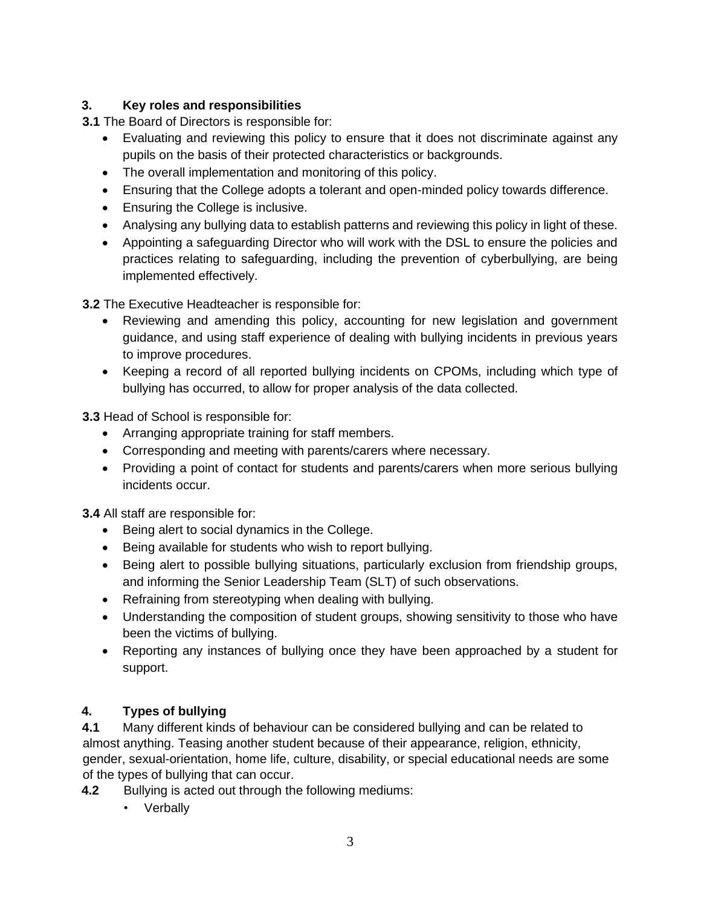#### **3. Key roles and responsibilities**

**3.1** The Board of Directors is responsible for:

- Evaluating and reviewing this policy to ensure that it does not discriminate against any pupils on the basis of their protected characteristics or backgrounds.
- The overall implementation and monitoring of this policy.
- Ensuring that the College adopts a tolerant and open-minded policy towards difference.
- Ensuring the College is inclusive.
- Analysing any bullying data to establish patterns and reviewing this policy in light of these.
- Appointing a safeguarding Director who will work with the DSL to ensure the policies and practices relating to safeguarding, including the prevention of cyberbullying, are being implemented effectively.

**3.2** The Executive Headteacher is responsible for:

- Reviewing and amending this policy, accounting for new legislation and government guidance, and using staff experience of dealing with bullying incidents in previous years to improve procedures.
- Keeping a record of all reported bullying incidents on CPOMs, including which type of bullying has occurred, to allow for proper analysis of the data collected.

**3.3** Head of School is responsible for:

- Arranging appropriate training for staff members.
- Corresponding and meeting with parents/carers where necessary.
- Providing a point of contact for students and parents/carers when more serious bullying incidents occur.

**3.4** All staff are responsible for:

- Being alert to social dynamics in the College.
- Being available for students who wish to report bullying.
- Being alert to possible bullying situations, particularly exclusion from friendship groups, and informing the Senior Leadership Team (SLT) of such observations.
- Refraining from stereotyping when dealing with bullying.
- Understanding the composition of student groups, showing sensitivity to those who have been the victims of bullying.
- Reporting any instances of bullying once they have been approached by a student for support.

#### **4. Types of bullying**

**4.1** Many different kinds of behaviour can be considered bullying and can be related to almost anything. Teasing another student because of their appearance, religion, ethnicity, gender, sexual-orientation, home life, culture, disability, or special educational needs are some of the types of bullying that can occur.

**4.2** Bullying is acted out through the following mediums:

• Verbally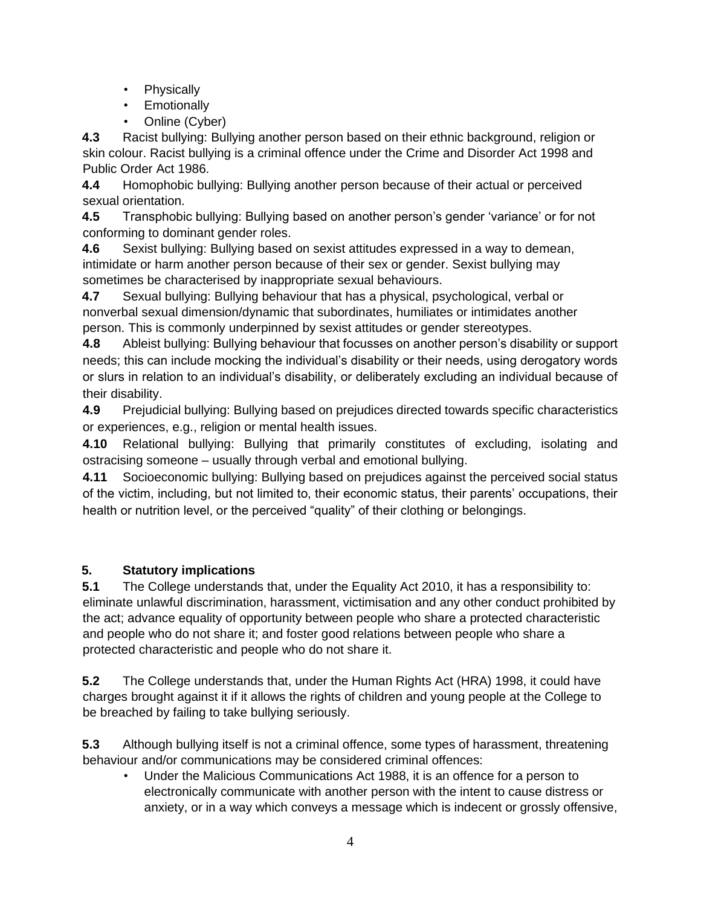- Physically
- Emotionally
- Online (Cyber)

**4.3** Racist bullying: Bullying another person based on their ethnic background, religion or skin colour. Racist bullying is a criminal offence under the Crime and Disorder Act 1998 and Public Order Act 1986.

**4.4** Homophobic bullying: Bullying another person because of their actual or perceived sexual orientation.

**4.5** Transphobic bullying: Bullying based on another person's gender 'variance' or for not conforming to dominant gender roles.

**4.6** Sexist bullying: Bullying based on sexist attitudes expressed in a way to demean, intimidate or harm another person because of their sex or gender. Sexist bullying may sometimes be characterised by inappropriate sexual behaviours.

**4.7** Sexual bullying: Bullying behaviour that has a physical, psychological, verbal or nonverbal sexual dimension/dynamic that subordinates, humiliates or intimidates another person. This is commonly underpinned by sexist attitudes or gender stereotypes.

**4.8** Ableist bullying: Bullying behaviour that focusses on another person's disability or support needs; this can include mocking the individual's disability or their needs, using derogatory words or slurs in relation to an individual's disability, or deliberately excluding an individual because of their disability.

**4.9** Prejudicial bullying: Bullying based on prejudices directed towards specific characteristics or experiences, e.g., religion or mental health issues.

**4.10** Relational bullying: Bullying that primarily constitutes of excluding, isolating and ostracising someone – usually through verbal and emotional bullying.

**4.11** Socioeconomic bullying: Bullying based on prejudices against the perceived social status of the victim, including, but not limited to, their economic status, their parents' occupations, their health or nutrition level, or the perceived "quality" of their clothing or belongings.

## **5. Statutory implications**

**5.1** The College understands that, under the Equality Act 2010, it has a responsibility to: eliminate unlawful discrimination, harassment, victimisation and any other conduct prohibited by the act; advance equality of opportunity between people who share a protected characteristic and people who do not share it; and foster good relations between people who share a protected characteristic and people who do not share it.

**5.2** The College understands that, under the Human Rights Act (HRA) 1998, it could have charges brought against it if it allows the rights of children and young people at the College to be breached by failing to take bullying seriously.

**5.3** Although bullying itself is not a criminal offence, some types of harassment, threatening behaviour and/or communications may be considered criminal offences:

• Under the Malicious Communications Act 1988, it is an offence for a person to electronically communicate with another person with the intent to cause distress or anxiety, or in a way which conveys a message which is indecent or grossly offensive,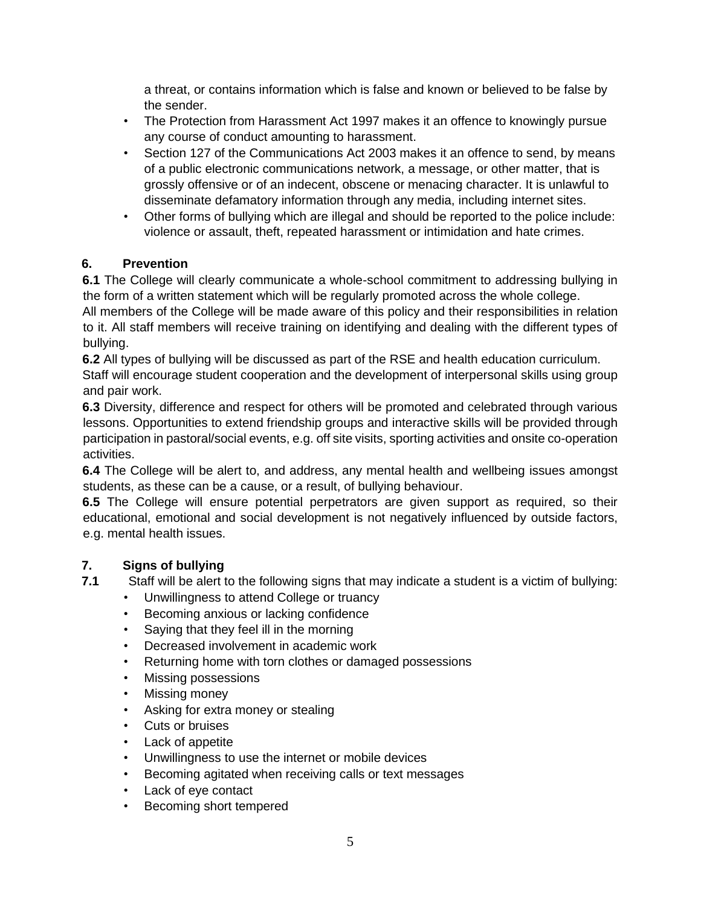a threat, or contains information which is false and known or believed to be false by the sender.

- The Protection from Harassment Act 1997 makes it an offence to knowingly pursue any course of conduct amounting to harassment.
- Section 127 of the Communications Act 2003 makes it an offence to send, by means of a public electronic communications network, a message, or other matter, that is grossly offensive or of an indecent, obscene or menacing character. It is unlawful to disseminate defamatory information through any media, including internet sites.
- Other forms of bullying which are illegal and should be reported to the police include: violence or assault, theft, repeated harassment or intimidation and hate crimes.

#### **6. Prevention**

**6.1** The College will clearly communicate a whole-school commitment to addressing bullying in the form of a written statement which will be regularly promoted across the whole college.

All members of the College will be made aware of this policy and their responsibilities in relation to it. All staff members will receive training on identifying and dealing with the different types of bullying.

**6.2** All types of bullying will be discussed as part of the RSE and health education curriculum. Staff will encourage student cooperation and the development of interpersonal skills using group and pair work.

**6.3** Diversity, difference and respect for others will be promoted and celebrated through various lessons. Opportunities to extend friendship groups and interactive skills will be provided through participation in pastoral/social events, e.g. off site visits, sporting activities and onsite co-operation activities.

**6.4** The College will be alert to, and address, any mental health and wellbeing issues amongst students, as these can be a cause, or a result, of bullying behaviour.

**6.5** The College will ensure potential perpetrators are given support as required, so their educational, emotional and social development is not negatively influenced by outside factors, e.g. mental health issues.

#### **7. Signs of bullying**

- **7.1** Staff will be alert to the following signs that may indicate a student is a victim of bullying:
	- Unwillingness to attend College or truancy
	- Becoming anxious or lacking confidence
	- Saying that they feel ill in the morning
	- Decreased involvement in academic work
	- Returning home with torn clothes or damaged possessions
	- Missing possessions
	- Missing money
	- Asking for extra money or stealing
	- Cuts or bruises
	- Lack of appetite
	- Unwillingness to use the internet or mobile devices
	- Becoming agitated when receiving calls or text messages
	- Lack of eye contact
	- Becoming short tempered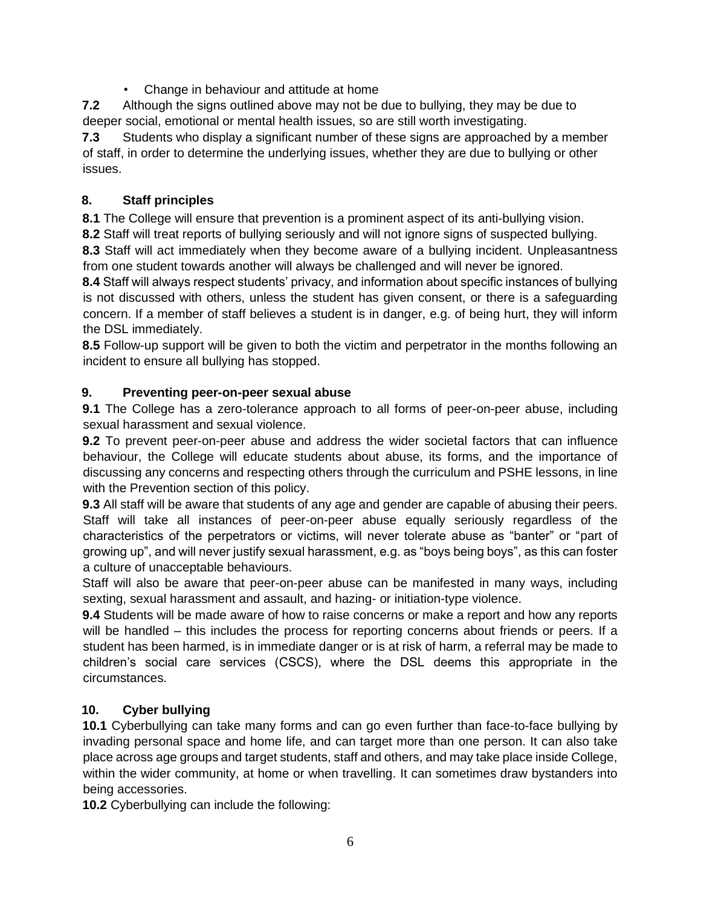• Change in behaviour and attitude at home

**7.2** Although the signs outlined above may not be due to bullying, they may be due to deeper social, emotional or mental health issues, so are still worth investigating.

**7.3** Students who display a significant number of these signs are approached by a member of staff, in order to determine the underlying issues, whether they are due to bullying or other issues.

#### **8. Staff principles**

**8.1** The College will ensure that prevention is a prominent aspect of its anti-bullying vision.

**8.2** Staff will treat reports of bullying seriously and will not ignore signs of suspected bullying.

**8.3** Staff will act immediately when they become aware of a bullying incident. Unpleasantness from one student towards another will always be challenged and will never be ignored.

**8.4** Staff will always respect students' privacy, and information about specific instances of bullying is not discussed with others, unless the student has given consent, or there is a safeguarding concern. If a member of staff believes a student is in danger, e.g. of being hurt, they will inform the DSL immediately.

**8.5** Follow-up support will be given to both the victim and perpetrator in the months following an incident to ensure all bullying has stopped.

#### **9. Preventing peer-on-peer sexual abuse**

**9.1** The College has a zero-tolerance approach to all forms of peer-on-peer abuse, including sexual harassment and sexual violence.

**9.2** To prevent peer-on-peer abuse and address the wider societal factors that can influence behaviour, the College will educate students about abuse, its forms, and the importance of discussing any concerns and respecting others through the curriculum and PSHE lessons, in line with the Prevention section of this policy.

**9.3** All staff will be aware that students of any age and gender are capable of abusing their peers. Staff will take all instances of peer-on-peer abuse equally seriously regardless of the characteristics of the perpetrators or victims, will never tolerate abuse as "banter" or "part of growing up", and will never justify sexual harassment, e.g. as "boys being boys", as this can foster a culture of unacceptable behaviours.

Staff will also be aware that peer-on-peer abuse can be manifested in many ways, including sexting, sexual harassment and assault, and hazing- or initiation-type violence.

**9.4** Students will be made aware of how to raise concerns or make a report and how any reports will be handled – this includes the process for reporting concerns about friends or peers. If a student has been harmed, is in immediate danger or is at risk of harm, a referral may be made to children's social care services (CSCS), where the DSL deems this appropriate in the circumstances.

#### **10. Cyber bullying**

**10.1** Cyberbullying can take many forms and can go even further than face-to-face bullying by invading personal space and home life, and can target more than one person. It can also take place across age groups and target students, staff and others, and may take place inside College, within the wider community, at home or when travelling. It can sometimes draw bystanders into being accessories.

**10.2** Cyberbullying can include the following: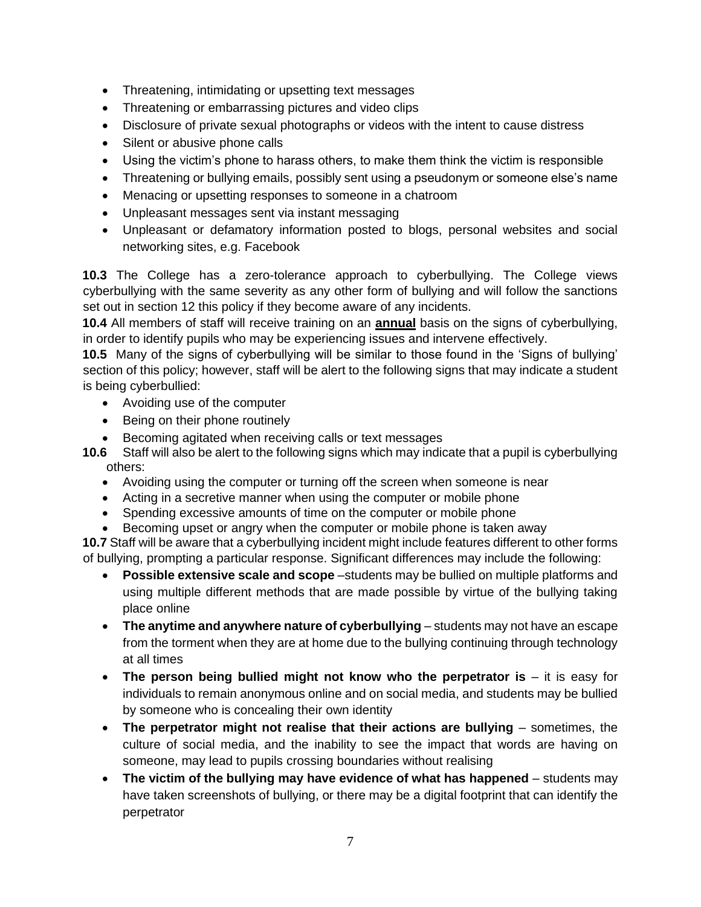- Threatening, intimidating or upsetting text messages
- Threatening or embarrassing pictures and video clips
- Disclosure of private sexual photographs or videos with the intent to cause distress
- Silent or abusive phone calls
- Using the victim's phone to harass others, to make them think the victim is responsible
- Threatening or bullying emails, possibly sent using a pseudonym or someone else's name
- Menacing or upsetting responses to someone in a chatroom
- Unpleasant messages sent via instant messaging
- Unpleasant or defamatory information posted to blogs, personal websites and social networking sites, e.g. Facebook

**10.3** The College has a zero-tolerance approach to cyberbullying. The College views cyberbullying with the same severity as any other form of bullying and will follow the sanctions set out in section 12 this policy if they become aware of any incidents.

**10.4** All members of staff will receive training on an **annual** basis on the signs of cyberbullying, in order to identify pupils who may be experiencing issues and intervene effectively.

**10.5** Many of the signs of cyberbullying will be similar to those found in the 'Signs of bullying' section of this policy; however, staff will be alert to the following signs that may indicate a student is being cyberbullied:

- Avoiding use of the computer
- Being on their phone routinely
- Becoming agitated when receiving calls or text messages
- **10.6** Staff will also be alert to the following signs which may indicate that a pupil is cyberbullying others:
	- Avoiding using the computer or turning off the screen when someone is near
	- Acting in a secretive manner when using the computer or mobile phone
	- Spending excessive amounts of time on the computer or mobile phone
	- Becoming upset or angry when the computer or mobile phone is taken away

**10.7** Staff will be aware that a cyberbullying incident might include features different to other forms of bullying, prompting a particular response. Significant differences may include the following:

- **Possible extensive scale and scope** –students may be bullied on multiple platforms and using multiple different methods that are made possible by virtue of the bullying taking place online
- **The anytime and anywhere nature of cyberbullying** students may not have an escape from the torment when they are at home due to the bullying continuing through technology at all times
- The person being bullied might not know who the perpetrator is it is easy for individuals to remain anonymous online and on social media, and students may be bullied by someone who is concealing their own identity
- **The perpetrator might not realise that their actions are bullying** sometimes, the culture of social media, and the inability to see the impact that words are having on someone, may lead to pupils crossing boundaries without realising
- **The victim of the bullying may have evidence of what has happened**  students may have taken screenshots of bullying, or there may be a digital footprint that can identify the perpetrator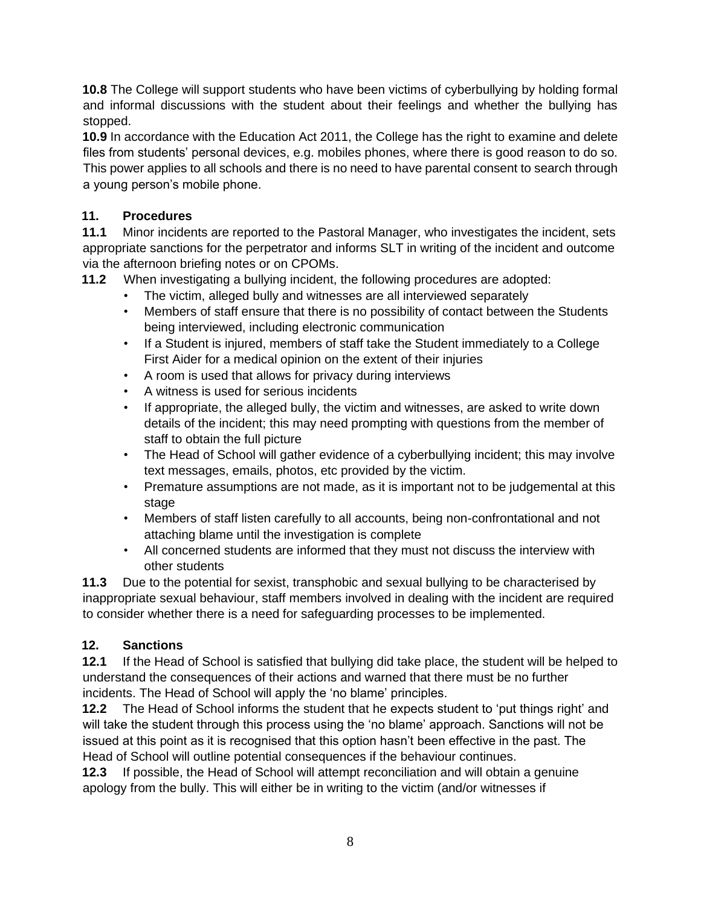**10.8** The College will support students who have been victims of cyberbullying by holding formal and informal discussions with the student about their feelings and whether the bullying has stopped.

**10.9** In accordance with the Education Act 2011, the College has the right to examine and delete files from students' personal devices, e.g. mobiles phones, where there is good reason to do so. This power applies to all schools and there is no need to have parental consent to search through a young person's mobile phone.

#### **11. Procedures**

**11.1** Minor incidents are reported to the Pastoral Manager, who investigates the incident, sets appropriate sanctions for the perpetrator and informs SLT in writing of the incident and outcome via the afternoon briefing notes or on CPOMs.

**11.2** When investigating a bullying incident, the following procedures are adopted:

- The victim, alleged bully and witnesses are all interviewed separately
- Members of staff ensure that there is no possibility of contact between the Students being interviewed, including electronic communication
- If a Student is injured, members of staff take the Student immediately to a College First Aider for a medical opinion on the extent of their injuries
- A room is used that allows for privacy during interviews
- A witness is used for serious incidents
- If appropriate, the alleged bully, the victim and witnesses, are asked to write down details of the incident; this may need prompting with questions from the member of staff to obtain the full picture
- The Head of School will gather evidence of a cyberbullying incident; this may involve text messages, emails, photos, etc provided by the victim.
- Premature assumptions are not made, as it is important not to be judgemental at this stage
- Members of staff listen carefully to all accounts, being non-confrontational and not attaching blame until the investigation is complete
- All concerned students are informed that they must not discuss the interview with other students

**11.3** Due to the potential for sexist, transphobic and sexual bullying to be characterised by inappropriate sexual behaviour, staff members involved in dealing with the incident are required to consider whether there is a need for safeguarding processes to be implemented.

#### **12. Sanctions**

**12.1** If the Head of School is satisfied that bullying did take place, the student will be helped to understand the consequences of their actions and warned that there must be no further incidents. The Head of School will apply the 'no blame' principles.

**12.2** The Head of School informs the student that he expects student to 'put things right' and will take the student through this process using the 'no blame' approach. Sanctions will not be issued at this point as it is recognised that this option hasn't been effective in the past. The Head of School will outline potential consequences if the behaviour continues.

**12.3** If possible, the Head of School will attempt reconciliation and will obtain a genuine apology from the bully. This will either be in writing to the victim (and/or witnesses if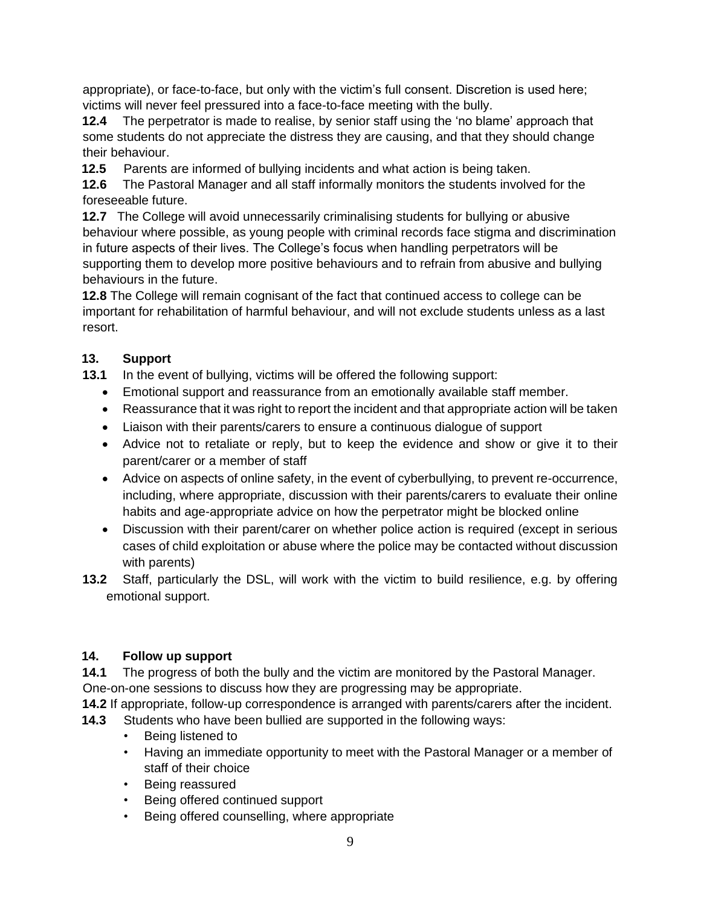appropriate), or face-to-face, but only with the victim's full consent. Discretion is used here; victims will never feel pressured into a face-to-face meeting with the bully.

**12.4** The perpetrator is made to realise, by senior staff using the 'no blame' approach that some students do not appreciate the distress they are causing, and that they should change their behaviour.

**12.5** Parents are informed of bullying incidents and what action is being taken.

**12.6** The Pastoral Manager and all staff informally monitors the students involved for the foreseeable future.

**12.7** The College will avoid unnecessarily criminalising students for bullying or abusive behaviour where possible, as young people with criminal records face stigma and discrimination in future aspects of their lives. The College's focus when handling perpetrators will be supporting them to develop more positive behaviours and to refrain from abusive and bullying behaviours in the future.

**12.8** The College will remain cognisant of the fact that continued access to college can be important for rehabilitation of harmful behaviour, and will not exclude students unless as a last resort.

## **13. Support**

**13.1** In the event of bullying, victims will be offered the following support:

- Emotional support and reassurance from an emotionally available staff member.
- Reassurance that it was right to report the incident and that appropriate action will be taken
- Liaison with their parents/carers to ensure a continuous dialogue of support
- Advice not to retaliate or reply, but to keep the evidence and show or give it to their parent/carer or a member of staff
- Advice on aspects of online safety, in the event of cyberbullying, to prevent re-occurrence, including, where appropriate, discussion with their parents/carers to evaluate their online habits and age-appropriate advice on how the perpetrator might be blocked online
- Discussion with their parent/carer on whether police action is required (except in serious cases of child exploitation or abuse where the police may be contacted without discussion with parents)
- **13.2** Staff, particularly the DSL, will work with the victim to build resilience, e.g. by offering emotional support.

#### **14. Follow up support**

**14.1** The progress of both the bully and the victim are monitored by the Pastoral Manager. One-on-one sessions to discuss how they are progressing may be appropriate.

**14.2** If appropriate, follow-up correspondence is arranged with parents/carers after the incident.

- **14.3** Students who have been bullied are supported in the following ways:
	- Being listened to
	- Having an immediate opportunity to meet with the Pastoral Manager or a member of staff of their choice
	- Being reassured
	- Being offered continued support
	- Being offered counselling, where appropriate